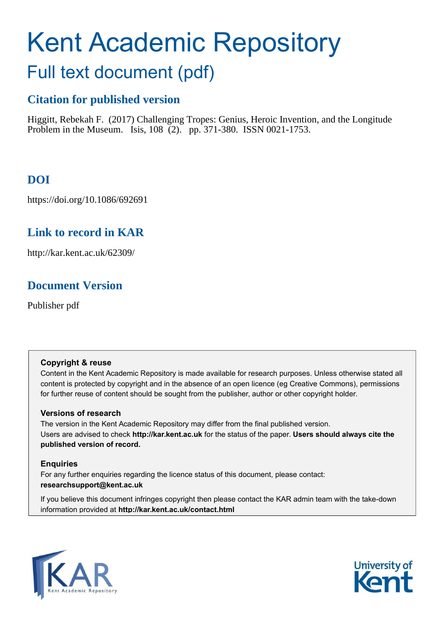# Kent Academic Repository

## Full text document (pdf)

## **Citation for published version**

Higgitt, Rebekah F. (2017) Challenging Tropes: Genius, Heroic Invention, and the Longitude Problem in the Museum. Isis, 108 (2). pp. 371-380. ISSN 0021-1753.

## **DOI**

https://doi.org/10.1086/692691

## **Link to record in KAR**

http://kar.kent.ac.uk/62309/

### **Document Version**

Publisher pdf

#### **Copyright & reuse**

Content in the Kent Academic Repository is made available for research purposes. Unless otherwise stated all content is protected by copyright and in the absence of an open licence (eg Creative Commons), permissions for further reuse of content should be sought from the publisher, author or other copyright holder.

#### **Versions of research**

The version in the Kent Academic Repository may differ from the final published version. Users are advised to check **http://kar.kent.ac.uk** for the status of the paper. **Users should always cite the published version of record.**

#### **Enquiries**

For any further enquiries regarding the licence status of this document, please contact: **researchsupport@kent.ac.uk**

If you believe this document infringes copyright then please contact the KAR admin team with the take-down information provided at **http://kar.kent.ac.uk/contact.html**



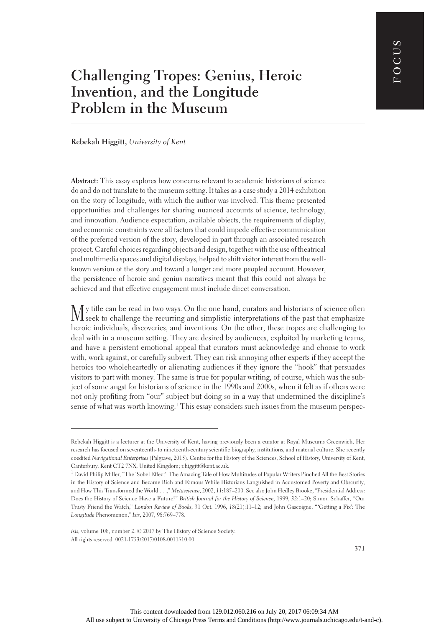## **Challenging Tropes: Genius, Heroic Invention, and the Longitude Problem in the Museum**

#### **Rebekah Higgitt,** University of Kent

**Abstract:** This essay explores how concerns relevant to academic historians of science do and do not translate to the museum setting. It takes as a case study a 2014 exhibition on the story of longitude, with which the author was involved. This theme presented opportunities and challenges for sharing nuanced accounts of science, technology, and innovation. Audience expectation, available objects, the requirements of display, and economic constraints were all factors that could impede effective communication of the preferred version of the story, developed in part through an associated research project. Careful choices regarding objects and design, together with the use of theatrical and multimedia spaces and digital displays, helped to shift visitor interest from the wellknown version of the story and toward a longer and more peopled account. However, the persistence of heroic and genius narratives meant that this could not always be achieved and that effective engagement must include direct conversation.

y title can be read in two ways. On the one hand, curators and historians of science often IVI seek to challenge the recurring and simplistic interpretations of the past that emphasize heroic individuals, discoveries, and inventions. On the other, these tropes are challenging to deal with in a museum setting. They are desired by audiences, exploited by marketing teams, and have a persistent emotional appeal that curators must acknowledge and choose to work with, work against, or carefully subvert. They can risk annoying other experts if they accept the heroics too wholeheartedly or alienating audiences if they ignore the "hook" that persuades visitors to part with money. The same is true for popular writing, of course, which was the subject of some angst for historians of science in the 1990s and 2000s, when it felt as if others were not only profiting from "our" subject but doing so in a way that undermined the discipline's sense of what was worth knowing.<sup>1</sup> This essay considers such issues from the museum perspec-

Rebekah Higgitt is a lecturer at the University of Kent, having previously been a curator at Royal Museums Greenwich. Her research has focused on seventeenth- to nineteenth-century scientific biography, institutions, and material culture. She recently coedited Navigational Enterprises (Palgrave, 2015). Centre for the History of the Sciences, School of History, University of Kent, Canterbury, Kent CT2 7NX, United Kingdom; r.higgitt@kent.ac.uk.

 $1$  David Philip Miller, "The 'Sobel Effect': The Amazing Tale of How Multitudes of Popular Writers Pinched All the Best Stories in the History of Science and Became Rich and Famous While Historians Languished in Accustomed Poverty and Obscurity, and How This Transformed the World . . .," Metascience, 2002, 11:185-200. See also John Hedley Brooke, "Presidential Address: Does the History of Science Have a Future?" British Journal for the History of Science, 1999, 32:1–20; Simon Schaffer, "Our Trusty Friend the Watch," London Review of Books, 31 Oct. 1996, 18(21):11–12; and John Gascoigne, " 'Getting a Fix': The Longitude Phenomenon," Isis, 2007, 98:769–778.

Isis, volume 108, number 2. © 2017 by The History of Science Society. All rights reserved. 0021-1753/2017/0108-0011\$10.00.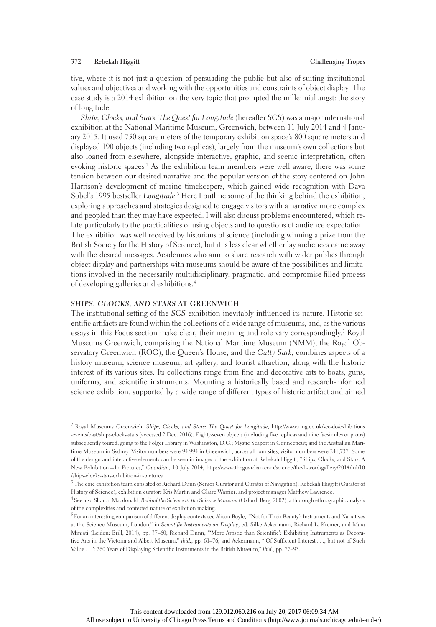tive, where it is not just a question of persuading the public but also of suiting institutional values and objectives and working with the opportunities and constraints of object display. The case study is a 2014 exhibition on the very topic that prompted the millennial angst: the story of longitude.

Ships, Clocks, and Stars: The Quest for Longitude (hereafter SCS) was a major international exhibition at the National Maritime Museum, Greenwich, between 11 July 2014 and 4 January 2015. It used 750 square meters of the temporary exhibition space's 800 square meters and displayed 190 objects (including two replicas), largely from the museum's own collections but also loaned from elsewhere, alongside interactive, graphic, and scenic interpretation, often evoking historic spaces.<sup>2</sup> As the exhibition team members were well aware, there was some tension between our desired narrative and the popular version of the story centered on John Harrison's development of marine timekeepers, which gained wide recognition with Dava Sobel's 1995 bestseller Longitude.<sup>3</sup> Here I outline some of the thinking behind the exhibition, exploring approaches and strategies designed to engage visitors with a narrative more complex and peopled than they may have expected. I will also discuss problems encountered, which relate particularly to the practicalities of using objects and to questions of audience expectation. The exhibition was well received by historians of science (including winning a prize from the British Society for the History of Science), but it is less clear whether lay audiences came away with the desired messages. Academics who aim to share research with wider publics through object display and partnerships with museums should be aware of the possibilities and limitations involved in the necessarily multidisciplinary, pragmatic, and compromise-filled process of developing galleries and exhibitions.<sup>4</sup>

#### **SHIPS, CLOCKS, AND STARS AT GREENWICH**

The institutional setting of the SCS exhibition inevitably influenced its nature. Historic scientific artifacts are found within the collections of a wide range of museums, and, as the various essays in this Focus section make clear, their meaning and role vary correspondingly.<sup>5</sup> Royal Museums Greenwich, comprising the National Maritime Museum (NMM), the Royal Observatory Greenwich (ROG), the Queen's House, and the Cutty Sark, combines aspects of a history museum, science museum, art gallery, and tourist attraction, along with the historic interest of its various sites. Its collections range from fine and decorative arts to boats, guns, uniforms, and scientific instruments. Mounting a historically based and research-informed science exhibition, supported by a wide range of different types of historic artifact and aimed

<sup>&</sup>lt;sup>2</sup> Royal Museums Greenwich, Ships, Clocks, and Stars: The Quest for Longitude, http://www.rmg.co.uk/see-do/exhibitions -events/past/ships-clocks-stars (accessed 2 Dec. 2016). Eighty-seven objects (including five replicas and nine facsimiles or props) subsequently toured, going to the Folger Library in Washington, D.C.; Mystic Seaport in Connecticut; and the Australian Maritime Museum in Sydney. Visitor numbers were 94,994 in Greenwich; across all four sites, visitor numbers were 241,737. Some of the design and interactive elements can be seen in images of the exhibition at Rebekah Higgitt, "Ships, Clocks, and Stars: A New Exhibition—In Pictures," Guardian, 10 July 2014, https://www.theguardian.com/science/the-h-word/gallery/2014/jul/10 /ships-clocks-stars-exhibition-in-pictures.

<sup>&</sup>lt;sup>3</sup>The core exhibition team consisted of Richard Dunn (Senior Curator and Curator of Navigation), Rebekah Higgitt (Curator of History of Science), exhibition curators Kris Martin and Claire Warrior, and project manager Matthew Lawrence.

<sup>&</sup>lt;sup>4</sup> See also Sharon Macdonald, Behind the Science at the Science Museum (Oxford: Berg, 2002), a thorough ethnographic analysis of the complexities and contested nature of exhibition making.

<sup>&</sup>lt;sup>5</sup> For an interesting comparison of different display contexts see Alison Boyle, "Not for Their Beauty': Instruments and Narratives at the Science Museum, London," in Scientific Instruments on Display, ed. Silke Ackermann, Richard L. Kremer, and Mara Miniati (Leiden: Brill, 2014), pp. 37–60; Richard Dunn, "'More Artistic than Scientific': Exhibiting Instruments as Decorative Arts in the Victoria and Albert Museum," ibid., pp. 61-76; and Ackermann, "Of Sufficient Interest . . ., but not of Such Value . . .: 260 Years of Displaying Scientific Instruments in the British Museum," ibid., pp. 77-93.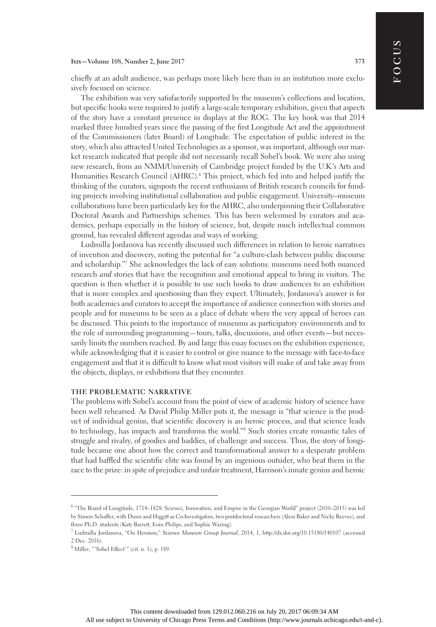chiefly at an adult audience, was perhaps more likely here than in an institution more exclusively focused on science.

The exhibition was very satisfactorily supported by the museum's collections and location, but specific hooks were required to justify a large-scale temporary exhibition, given that aspects of the story have a constant presence in displays at the ROG. The key hook was that 2014 marked three hundred years since the passing of the first Longitude Act and the appointment of the Commissioners (later Board) of Longitude. The expectation of public interest in the story, which also attracted United Technologies as a sponsor, was important, although our market research indicated that people did not necessarily recall Sobel's book. We were also using new research, from an NMM/University of Cambridge project funded by the U.K.'s Arts and Humanities Research Council (AHRC).<sup>6</sup> This project, which fed into and helped justify the thinking of the curators, signposts the recent enthusiasm of British research councils for funding projects involving institutional collaboration and public engagement. University–museum collaborations have been particularly key for the AHRC, also underpinning their Collaborative Doctoral Awards and Partnerships schemes. This has been welcomed by curators and academics, perhaps especially in the history of science, but, despite much intellectual common ground, has revealed different agendas and ways of working.

Ludmilla Jordanova has recently discussed such differences in relation to heroic narratives of invention and discovery, noting the potential for "a culture-clash between public discourse and scholarship."<sup>7</sup> She acknowledges the lack of easy solutions: museums need both nuanced research *and* stories that have the recognition and emotional appeal to bring in visitors. The question is then whether it is possible to use such hooks to draw audiences to an exhibition that is more complex and questioning than they expect. Ultimately, Jordanova's answer is for both academics and curators to accept the importance of audience connection with stories and people and for museums to be seen as a place of debate where the very appeal of heroes can be discussed. This points to the importance of museums as participatory environments and to the role of surrounding programming—tours, talks, discussions, and other events—but necessarily limits the numbers reached. By and large this essay focuses on the exhibition experience, while acknowledging that it is easier to control or give nuance to the message with face-to-face engagement and that it is difficult to know what most visitors will make of and take away from the objects, displays, or exhibitions that they encounter.

#### **THE PROBLEMATIC NARRATIVE**

The problems with Sobel's account from the point of view of academic history of science have been well rehearsed. As David Philip Miller puts it, the message is "that science is the product of individual genius, that scientific discovery is an heroic process, and that science leads to technology, has impacts and transforms the world."<sup>8</sup> Such stories create romantic tales of struggle and rivalry, of goodies and baddies, of challenge and success. Thus, the story of longitude became one about how the correct and transformational answer to a desperate problem that had baffled the scientific elite was found by an ingenious outsider, who beat them in the race to the prize: in spite of prejudice and unfair treatment, Harrison's innate genius and heroic

<sup>6</sup>"The Board of Longitude, 1714–1828: Science, Innovation, and Empire in the Georgian World" project (2010–2015) was led by Simon Schaffer, with Dunn and Higgitt as Co-Investigators, two postdoctoral researchers (Alexi Baker and Nicky Reeves), and three Ph.D. students (Katy Barrett, Eoin Philips, and Sophie Waring).

<sup>7</sup>Ludmilla Jordanova, "On Heroism," Science Museum Group Journal, 2014, 1, http://dx.doi.org/10.15180/140107 (accessed 2 Dec. 2016).

 $8$  Miller, "'Sobel Effect'" (cit. n. 1), p. 189.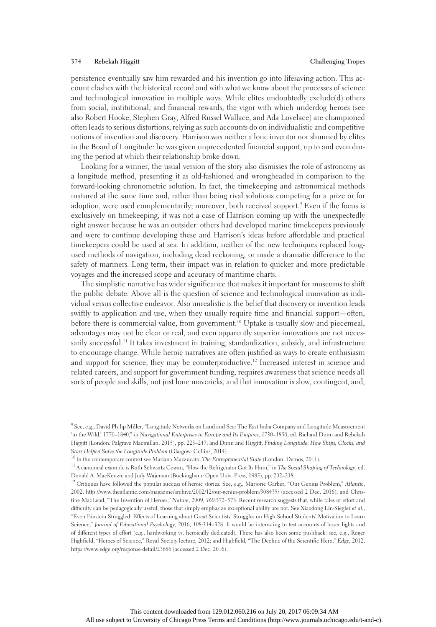persistence eventually saw him rewarded and his invention go into lifesaving action. This account clashes with the historical record and with what we know about the processes of science and technological innovation in multiple ways. While elites undoubtedly exclude(d) others from social, institutional, and financial rewards, the vigor with which underdog heroes (see also Robert Hooke, Stephen Gray, Alfred Russel Wallace, and Ada Lovelace) are championed often leads to serious distortions, relying as such accounts do on individualistic and competitive notions of invention and discovery. Harrison was neither a lone inventor nor shunned by elites in the Board of Longitude: he was given unprecedented financial support, up to and even during the period at which their relationship broke down.

Looking for a winner, the usual version of the story also dismisses the role of astronomy as a longitude method, presenting it as old-fashioned and wrongheaded in comparison to the forward-looking chronometric solution. In fact, the timekeeping and astronomical methods matured at the same time and, rather than being rival solutions competing for a prize or for adoption, were used complementarily; moreover, both received support.<sup>9</sup> Even if the focus is exclusively on timekeeping, it was not a case of Harrison coming up with the unexpectedly right answer because he was an outsider: others had developed marine timekeepers previously and were to continue developing these and Harrison's ideas before affordable and practical timekeepers could be used at sea. In addition, neither of the new techniques replaced longused methods of navigation, including dead reckoning, or made a dramatic difference to the safety of mariners. Long term, their impact was in relation to quicker and more predictable voyages and the increased scope and accuracy of maritime charts.

The simplistic narrative has wider significance that makes it important for museums to shift the public debate. Above all is the question of science and technological innovation as individual versus collective endeavor. Also unrealistic is the belief that discovery or invention leads swiftly to application and use, when they usually require time and financial support—often, before there is commercial value, from government.<sup>10</sup> Uptake is usually slow and piecemeal, advantages may not be clear or real, and even apparently superior innovations are not necessarily successful.<sup>11</sup> It takes investment in training, standardization, subsidy, and infrastructure to encourage change. While heroic narratives are often justified as ways to create enthusiasm and support for science, they may be counterproductive.<sup>12</sup> Increased interest in science and related careers, and support for government funding, requires awareness that science needs all sorts of people and skills, not just lone mavericks, and that innovation is slow, contingent, and,

<sup>&</sup>lt;sup>9</sup> See, e.g., David Philip Miller, "Longitude Networks on Land and Sea: The East India Company and Longitude Measurement 'in the Wild,' 1770–1840," in Navigational Enterprises in Europe and Its Empires, 1730–1850, ed. Richard Dunn and Rebekah Higgitt (London: Palgrave Macmillan, 2015), pp. 223–247; and Dunn and Higgitt, Finding Longitude: How Ships, Clocks, and Stars Helped Solve the Longitude Problem (Glasgow: Collins, 2014).

<sup>&</sup>lt;sup>10</sup> In the contemporary context see Mariana Mazzucato, *The Entrepreneurial State* (London: Demos, 2011).

<sup>&</sup>lt;sup>11</sup> A canonical example is Ruth Schwartz Cowan, "How the Refrigerator Got Its Hum," in The Social Shaping of Technology, ed. Donald A. MacKenzie and Judy Wajcman (Buckingham: Open Univ. Press, 1985), pp. 202–218.

<sup>&</sup>lt;sup>12</sup> Critiques have followed the popular success of heroic stories. See, e.g., Marjorie Garber, "Our Genius Problem," Atlantic, 2002, http://www.theatlantic.com/magazine/archive/2002/12/our-genius-problem/308435/ (accessed 2 Dec. 2016); and Christine MacLeod, "The Invention of Heroes," Nature, 2009, 460:572-573. Recent research suggests that, while tales of effort and difficulty can be pedagogically useful, those that simply emphasize exceptional ability are not. See Xiaodong Lin-Siegler et al., "Even Einstein Struggled: Effects of Learning about Great Scientists' Struggles on High School Students' Motivation to Learn Science," Journal [of Educational Psychology](http://www.journals.uchicago.edu/action/showLinks?doi=10.1086%2F692691&crossref=10.1037%2Fedu0000092&citationId=p_n_19), 2016, 108:314–328. It would be interesting to test accounts of lesser lights and of different types of effort (e.g., hardworking vs. heroically dedicated). There has also been some pushback: see, e.g., Roger Highfield, "Heroes of Science," Royal Society lecture, 2012; and Highfield, "The Decline of the Scientific Hero," Edge, 2012, https://www.edge.org/response-detail/23686 (accessed 2 Dec. 2016).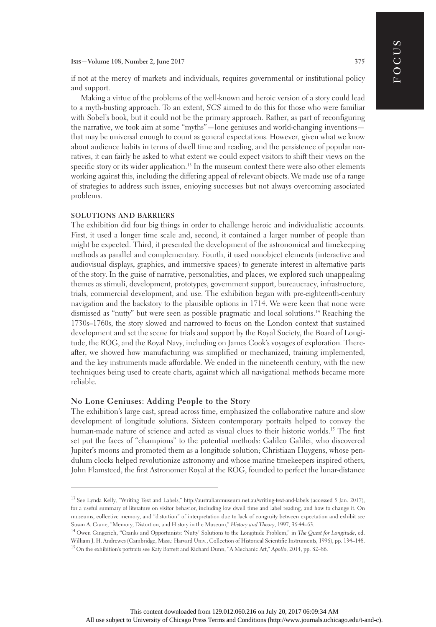**FOCUS**

if not at the mercy of markets and individuals, requires governmental or institutional policy and support.

Making a virtue of the problems of the well-known and heroic version of a story could lead to a myth-busting approach. To an extent, SCS aimed to do this for those who were familiar with Sobel's book, but it could not be the primary approach. Rather, as part of reconfiguring the narrative, we took aim at some "myths"—lone geniuses and world-changing inventions that may be universal enough to count as general expectations. However, given what we know about audience habits in terms of dwell time and reading, and the persistence of popular narratives, it can fairly be asked to what extent we could expect visitors to shift their views on the specific story or its wider application.<sup>13</sup> In the museum context there were also other elements working against this, including the differing appeal of relevant objects. We made use of a range of strategies to address such issues, enjoying successes but not always overcoming associated problems.

#### **SOLUTIONS AND BARRIERS**

The exhibition did four big things in order to challenge heroic and individualistic accounts. First, it used a longer time scale and, second, it contained a larger number of people than might be expected. Third, it presented the development of the astronomical and timekeeping methods as parallel and complementary. Fourth, it used nonobject elements (interactive and audiovisual displays, graphics, and immersive spaces) to generate interest in alternative parts of the story. In the guise of narrative, personalities, and places, we explored such unappealing themes as stimuli, development, prototypes, government support, bureaucracy, infrastructure, trials, commercial development, and use. The exhibition began with pre-eighteenth-century navigation and the backstory to the plausible options in 1714. We were keen that none were dismissed as "nutty" but were seen as possible pragmatic and local solutions.<sup>14</sup> Reaching the 1730s–1760s, the story slowed and narrowed to focus on the London context that sustained development and set the scene for trials and support by the Royal Society, the Board of Longitude, the ROG, and the Royal Navy, including on James Cook's voyages of exploration. Thereafter, we showed how manufacturing was simplified or mechanized, training implemented, and the key instruments made affordable. We ended in the nineteenth century, with the new techniques being used to create charts, against which all navigational methods became more reliable.

#### **No Lone Geniuses: Adding People to the Story**

The exhibition's large cast, spread across time, emphasized the collaborative nature and slow development of longitude solutions. Sixteen contemporary portraits helped to convey the human-made nature of science and acted as visual clues to their historic worlds.<sup>15</sup> The first set put the faces of "champions" to the potential methods: Galileo Galilei, who discovered Jupiter's moons and promoted them as a longitude solution; Christiaan Huygens, whose pendulum clocks helped revolutionize astronomy and whose marine timekeepers inspired others; John Flamsteed, the first Astronomer Royal at the ROG, founded to perfect the lunar-distance

<sup>&</sup>lt;sup>13</sup> See Lynda Kelly, "Writing Text and Labels," http://australianmuseum.net.au/writing-text-and-labels (accessed 5 Jan. 2017), for a useful summary of literature on visitor behavior, including low dwell time and label reading, and how to change it. On museums, collective memory, and "distortion" of interpretation due to lack of congruity between expectation and exhibit see Susan A. Crane, "Memory, Distortion, and History in the Museum," [History and Theory](http://www.journals.uchicago.edu/action/showLinks?doi=10.1086%2F692691&crossref=10.1111%2F0018-2656.00030&citationId=p_n_23), 1997, 36:44–63.

<sup>&</sup>lt;sup>14</sup> Owen Gingerich, "Cranks and Opportunists: 'Nutty' Solutions to the Longitude Problem," in The Quest for Longitude, ed. William J. H. Andrewes (Cambridge, Mass.: Harvard Univ., Collection of Historical Scientific Instruments, 1996), pp. 134–148. <sup>15</sup> On the exhibition's portraits see Katy Barrett and Richard Dunn, "A Mechanic Art," Apollo, 2014, pp. 82–86.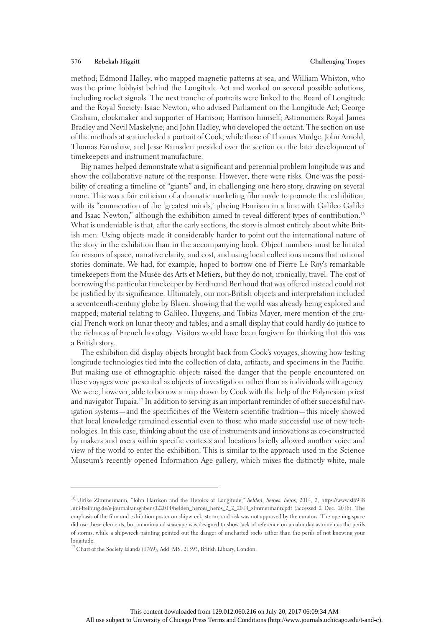method; Edmond Halley, who mapped magnetic patterns at sea; and William Whiston, who was the prime lobbyist behind the Longitude Act and worked on several possible solutions, including rocket signals. The next tranche of portraits were linked to the Board of Longitude and the Royal Society: Isaac Newton, who advised Parliament on the Longitude Act; George Graham, clockmaker and supporter of Harrison; Harrison himself; Astronomers Royal James Bradley and Nevil Maskelyne; and John Hadley, who developed the octant. The section on use of the methods at sea included a portrait of Cook, while those of Thomas Mudge, John Arnold, Thomas Earnshaw, and Jesse Ramsden presided over the section on the later development of timekeepers and instrument manufacture.

Big names helped demonstrate what a significant and perennial problem longitude was and show the collaborative nature of the response. However, there were risks. One was the possibility of creating a timeline of "giants" and, in challenging one hero story, drawing on several more. This was a fair criticism of a dramatic marketing film made to promote the exhibition, with its "enumeration of the 'greatest minds,' placing Harrison in a line with Galileo Galilei and Isaac Newton," although the exhibition aimed to reveal different types of contribution.<sup>16</sup> What is undeniable is that, after the early sections, the story is almost entirely about white British men. Using objects made it considerably harder to point out the international nature of the story in the exhibition than in the accompanying book. Object numbers must be limited for reasons of space, narrative clarity, and cost, and using local collections means that national stories dominate. We had, for example, hoped to borrow one of Pierre Le Roy's remarkable timekeepers from the Musée des Arts et Métiers, but they do not, ironically, travel. The cost of borrowing the particular timekeeper by Ferdinand Berthoud that was offered instead could not be justified by its significance. Ultimately, our non-British objects and interpretation included a seventeenth-century globe by Blaeu, showing that the world was already being explored and mapped; material relating to Galileo, Huygens, and Tobias Mayer; mere mention of the crucial French work on lunar theory and tables; and a small display that could hardly do justice to the richness of French horology. Visitors would have been forgiven for thinking that this was a British story.

The exhibition did display objects brought back from Cook's voyages, showing how testing longitude technologies tied into the collection of data, artifacts, and specimens in the Pacific. But making use of ethnographic objects raised the danger that the people encountered on these voyages were presented as objects of investigation rather than as individuals with agency. We were, however, able to borrow a map drawn by Cook with the help of the Polynesian priest and navigator Tupaia.<sup>17</sup> In addition to serving as an important reminder of other successful navigation systems—and the specificities of the Western scientific tradition—this nicely showed that local knowledge remained essential even to those who made successful use of new technologies. In this case, thinking about the use of instruments and innovations as co-constructed by makers and users within specific contexts and locations briefly allowed another voice and view of the world to enter the exhibition. This is similar to the approach used in the Science Museum's recently opened Information Age gallery, which mixes the distinctly white, male

<sup>&</sup>lt;sup>16</sup> Ulrike Zimmermann, "John Harrison and the Heroics of Longitude," helden. heroes. héros, 2014, 2, https://www.sfb948 .uni-freiburg.de/e-journal/ausgaben/022014/helden\_heroes\_heros\_2\_2\_2014\_zimmermann.pdf (accessed 2 Dec. 2016). The emphasis of the film and exhibition poster on shipwreck, storm, and risk was not approved by the curators. The opening space did use these elements, but an animated seascape was designed to show lack of reference on a calm day as much as the perils of storms, while a shipwreck painting pointed out the danger of uncharted rocks rather than the perils of not knowing your longitude.

<sup>&</sup>lt;sup>17</sup> Chart of the Society Islands (1769), Add. MS. 21593, British Library, London.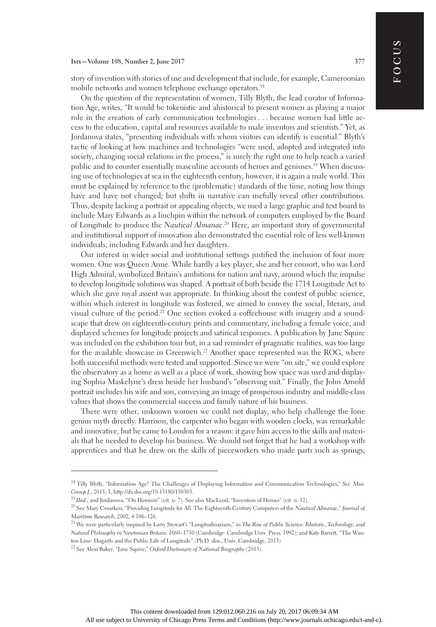story of invention with stories of use and development that include, for example, Cameroonian mobile networks and women telephone exchange operators.<sup>18</sup>

On the question of the representation of women, Tilly Blyth, the lead curator of Information Age, writes, "It would be tokenistic and ahistorical to present women as playing a major role in the creation of early communication technologies . . . because women had little access to the education, capital and resources available to male inventors and scientists." Yet, as Jordanova states, "presenting individuals with whom visitors can identify is essential." Blyth's tactic of looking at how machines and technologies "were used, adopted and integrated into society, changing social relations in the process," is surely the right one to help reach a varied public and to counter essentially masculine accounts of heroes and geniuses.<sup>19</sup> When discussing use of technologies at sea in the eighteenth century, however, it is again a male world. This must be explained by reference to the (problematic) standards of the time, noting how things have and have not changed; but shifts in narrative can usefully reveal other contributions. Thus, despite lacking a portrait or appealing objects, we used a large graphic and text board to include Mary Edwards as a linchpin within the network of computers employed by the Board of Longitude to produce the Nautical Almanac.<sup>20</sup> Here, an important story of governmental and institutional support of innovation also demonstrated the essential role of less well-known individuals, including Edwards and her daughters.

Our interest in wider social and institutional settings justified the inclusion of four more women. One was Queen Anne. While hardly a key player, she and her consort, who was Lord High Admiral, symbolized Britain's ambitions for nation and navy, around which the impulse to develop longitude solutions was shaped. A portrait of both beside the 1714 Longitude Act to which she gave royal assent was appropriate. In thinking about the context of public science, within which interest in longitude was fostered, we aimed to convey the social, literary, and visual culture of the period.21 One section evoked a coffeehouse with imagery and a soundscape that drew on eighteenth-century prints and commentary, including a female voice, and displayed schemes for longitude projects and satirical responses. A publication by Jane Squire was included on the exhibition tour but, in a sad reminder of pragmatic realities, was too large for the available showcase in Greenwich.<sup>22</sup> Another space represented was the ROG, where both successful methods were tested and supported. Since we were "on site," we could explore the observatory as a home as well as a place of work, showing how space was used and displaying Sophia Maskelyne's dress beside her husband's "observing suit." Finally, the John Arnold portrait includes his wife and son, conveying an image of prosperous industry and middle-class values that shows the commercial success and family nature of his business.

There were other, unknown women we could not display, who help challenge the lone genius myth directly. Harrison, the carpenter who began with wooden clocks, was remarkable and innovative, but he came to London for a reason: it gave him access to the skills and materials that he needed to develop his business. We should not forget that he had a workshop with apprentices and that he drew on the skills of pieceworkers who made parts such as springs;

<sup>&</sup>lt;sup>18</sup> Tilly Blyth, "Information Age? The Challenges of Displaying Information and Communication Technologies," Sci. Mus. Group J., 2015, 3, http://dx.doi.org/10.15180/150303.

<sup>&</sup>lt;sup>19</sup> Ibid.; and Jordanova, "On Heroism" (cit. n. 7). See also MacLeod, "Invention of Heroes" (cit. n. 12).

<sup>&</sup>lt;sup>20</sup> See Mary Croarken, "Providing Longitude for All: The Eighteenth-Century Computers of the Nautical Almanac," Journal of [Maritime Research](http://www.journals.uchicago.edu/action/showLinks?doi=10.1086%2F692691&crossref=10.1080%2F21533369.2002.9668324&citationId=p_n_33), 2002, 4:106–126.

<sup>&</sup>lt;sup>21</sup> We were particularly inspired by Larry Stewart's "Longitudinarians," in The Rise of Public Science: Rhetoric, Technology, and Natural Philosophy in Newtonian Britain, 1660–1750 (Cambridge: Cambridge Univ. Press, 1992); and Katy Barrett, "The Wanton Line: Hogarth and the Public Life of Longitude" (Ph.D. diss., Univ. Cambridge, 2013).

<sup>&</sup>lt;sup>22</sup> See Alexi Baker, "Jane Squire," Oxford Dictionary of National Biography (2015).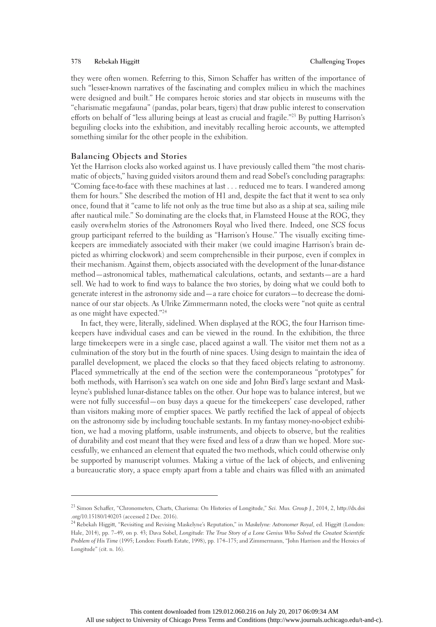they were often women. Referring to this, Simon Schaffer has written of the importance of such "lesser-known narratives of the fascinating and complex milieu in which the machines were designed and built." He compares heroic stories and star objects in museums with the "charismatic megafauna" (pandas, polar bears, tigers) that draw public interest to conservation efforts on behalf of "less alluring beings at least as crucial and fragile."<sup>23</sup> By putting Harrison's beguiling clocks into the exhibition, and inevitably recalling heroic accounts, we attempted something similar for the other people in the exhibition.

#### **Balancing Objects and Stories**

Yet the Harrison clocks also worked against us. I have previously called them "the most charismatic of objects," having guided visitors around them and read Sobel's concluding paragraphs: "Coming face-to-face with these machines at last . . . reduced me to tears. I wandered among them for hours." She described the motion of H1 and, despite the fact that it went to sea only once, found that it "came to life not only as the true time but also as a ship at sea, sailing mile after nautical mile." So dominating are the clocks that, in Flamsteed House at the ROG, they easily overwhelm stories of the Astronomers Royal who lived there. Indeed, one SCS focus group participant referred to the building as "Harrison's House." The visually exciting timekeepers are immediately associated with their maker (we could imagine Harrison's brain depicted as whirring clockwork) and seem comprehensible in their purpose, even if complex in their mechanism. Against them, objects associated with the development of the lunar-distance method—astronomical tables, mathematical calculations, octants, and sextants—are a hard sell. We had to work to find ways to balance the two stories, by doing what we could both to generate interest in the astronomy side and—a rare choice for curators—to decrease the dominance of our star objects. As Ulrike Zimmermann noted, the clocks were "not quite as central as one might have expected."<sup>24</sup>

In fact, they were, literally, sidelined. When displayed at the ROG, the four Harrison timekeepers have individual cases and can be viewed in the round. In the exhibition, the three large timekeepers were in a single case, placed against a wall. The visitor met them not as a culmination of the story but in the fourth of nine spaces. Using design to maintain the idea of parallel development, we placed the clocks so that they faced objects relating to astronomy. Placed symmetrically at the end of the section were the contemporaneous "prototypes" for both methods, with Harrison's sea watch on one side and John Bird's large sextant and Maskleyne's published lunar-distance tables on the other. Our hope was to balance interest, but we were not fully successful—on busy days a queue for the timekeepers' case developed, rather than visitors making more of emptier spaces. We partly rectified the lack of appeal of objects on the astronomy side by including touchable sextants. In my fantasy money-no-object exhibition, we had a moving platform, usable instruments, and objects to observe, but the realities of durability and cost meant that they were fixed and less of a draw than we hoped. More successfully, we enhanced an element that equated the two methods, which could otherwise only be supported by manuscript volumes. Making a virtue of the lack of objects, and enlivening a bureaucratic story, a space empty apart from a table and chairs was filled with an animated

<sup>&</sup>lt;sup>23</sup> Simon Schaffer, "Chronometers, Charts, Charisma: On Histories of Longitude," Sci. Mus. Group J., 2014, 2, http://dx.doi .org/10.15180/140203 (accessed 2 Dec. 2016).

<sup>&</sup>lt;sup>24</sup> Rebekah Higgitt, "Revisiting and Revising Maskelyne's Reputation," in Maskelyne: Astronomer Royal, ed. Higgitt (London: Hale, 2014), pp. 7–49, on p. 43; Dava Sobel, Longitude: The True Story of a Lone Genius Who Solved the Greatest Scientific Problem of His Time (1995; London: Fourth Estate, 1998), pp. 174–175; and Zimmermann, "John Harrison and the Heroics of Longitude" (cit. n. 16).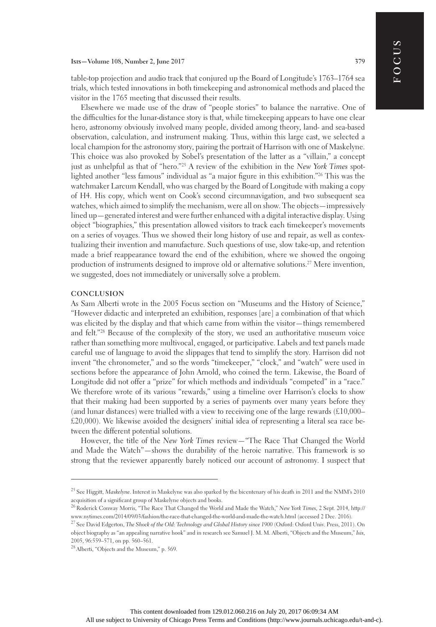table-top projection and audio track that conjured up the Board of Longitude's 1763–1764 sea trials, which tested innovations in both timekeeping and astronomical methods and placed the visitor in the 1765 meeting that discussed their results.

Elsewhere we made use of the draw of "people stories" to balance the narrative. One of the difficulties for the lunar-distance story is that, while timekeeping appears to have one clear hero, astronomy obviously involved many people, divided among theory, land- and sea-based observation, calculation, and instrument making. Thus, within this large cast, we selected a local champion for the astronomy story, pairing the portrait of Harrison with one of Maskelyne. This choice was also provoked by Sobel's presentation of the latter as a "villain," a concept just as unhelpful as that of "hero."<sup>25</sup> A review of the exhibition in the New York Times spotlighted another "less famous" individual as "a major figure in this exhibition."<sup>26</sup> This was the watchmaker Larcum Kendall, who was charged by the Board of Longitude with making a copy of H4. His copy, which went on Cook's second circumnavigation, and two subsequent sea watches, which aimed to simplify the mechanism, were all on show. The objects—impressively lined up—generated interest and were further enhanced with a digital interactive display. Using object "biographies," this presentation allowed visitors to track each timekeeper's movements on a series of voyages. Thus we showed their long history of use and repair, as well as contextualizing their invention and manufacture. Such questions of use, slow take-up, and retention made a brief reappearance toward the end of the exhibition, where we showed the ongoing production of instruments designed to improve old or alternative solutions.<sup>27</sup> Mere invention, we suggested, does not immediately or universally solve a problem.

#### **CONCLUSION**

As Sam Alberti wrote in the 2005 Focus section on "Museums and the History of Science," "However didactic and interpreted an exhibition, responses [are] a combination of that which was elicited by the display and that which came from within the visitor—things remembered and felt."<sup>28</sup> Because of the complexity of the story, we used an authoritative museum voice rather than something more multivocal, engaged, or participative. Labels and text panels made careful use of language to avoid the slippages that tend to simplify the story. Harrison did not invent "the chronometer," and so the words "timekeeper," "clock," and "watch" were used in sections before the appearance of John Arnold, who coined the term. Likewise, the Board of Longitude did not offer a "prize" for which methods and individuals "competed" in a "race." We therefore wrote of its various "rewards," using a timeline over Harrison's clocks to show that their making had been supported by a series of payments over many years before they (and lunar distances) were trialled with a view to receiving one of the large rewards  $(E10,000-$ £20,000). We likewise avoided the designers' initial idea of representing a literal sea race between the different potential solutions.

However, the title of the New York Times review—"The Race That Changed the World and Made the Watch"—shows the durability of the heroic narrative. This framework is so strong that the reviewer apparently barely noticed our account of astronomy. I suspect that

<sup>&</sup>lt;sup>25</sup> See Higgitt, Maskelyne. Interest in Maskelyne was also sparked by the bicentenary of his death in 2011 and the NMM's 2010 acquisition of a significant group of Maskelyne objects and books.

<sup>&</sup>lt;sup>26</sup> Roderick Conway Morris, "The Race That Changed the World and Made the Watch," New York Times, 2 Sept. 2014, http:// www.nytimes.com/2014/09/03/fashion/the-race-that-changed-the-world-and-made-the-watch.html (accessed 2 Dec. 2016).

<sup>&</sup>lt;sup>27</sup> See David Edgerton, *The Shock of the Old: Technology and Global History since 1900 (Oxford: Oxford Univ. Press, 2011)*. On object biography as "an appealing narrative hook" and in research see Samuel J. M. M. Alberti, "Objects and the Museum," [Isis](http://www.journals.uchicago.edu/action/showLinks?doi=10.1086%2F692691&system=10.1086%2F498593&citationId=p_n_47), 2005, 96:559–571, on pp. 560–561.

<sup>&</sup>lt;sup>28</sup> Alberti, "Objects and the Museum," p. 569.